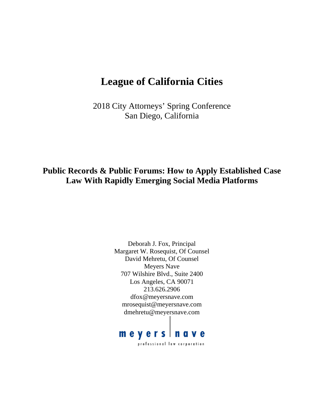# **League of California Cities**

2018 City Attorneys' Spring Conference San Diego, California

**Public Records & Public Forums: How to Apply Established Case Law With Rapidly Emerging Social Media Platforms** 

> Deborah J. Fox, Principal Margaret W. Rosequist, Of Counsel David Mehretu, Of Counsel Meyers Nave 707 Wilshire Blvd., Suite 2400 Los Angeles, CA 90071 213.626.2906 dfox@meyersnave.com mrosequist@meyersnave.com dmehretu@meyersnave.com

# meyers nave professional law corporation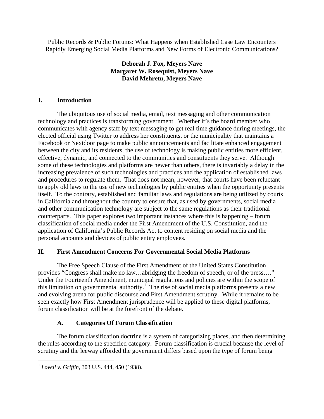Public Records & Public Forums: What Happens when Established Case Law Encounters Rapidly Emerging Social Media Platforms and New Forms of Electronic Communications?

### **Deborah J. Fox, Meyers Nave Margaret W. Rosequist, Meyers Nave David Mehretu, Meyers Nave**

#### **I. Introduction**

The ubiquitous use of social media, email, text messaging and other communication technology and practices is transforming government. Whether it's the board member who communicates with agency staff by text messaging to get real time guidance during meetings, the elected official using Twitter to address her constituents, or the municipality that maintains a Facebook or Nextdoor page to make public announcements and facilitate enhanced engagement between the city and its residents, the use of technology is making public entities more efficient, effective, dynamic, and connected to the communities and constituents they serve. Although some of these technologies and platforms are newer than others, there is invariably a delay in the increasing prevalence of such technologies and practices and the application of established laws and procedures to regulate them. That does not mean, however, that courts have been reluctant to apply old laws to the use of new technologies by public entities when the opportunity presents itself. To the contrary, established and familiar laws and regulations are being utilized by courts in California and throughout the country to ensure that, as used by governments, social media and other communication technology are subject to the same regulations as their traditional counterparts. This paper explores two important instances where this is happening – forum classification of social media under the First Amendment of the U.S. Constitution, and the application of California's Public Records Act to content residing on social media and the personal accounts and devices of public entity employees.

#### **II. First Amendment Concerns For Governmental Social Media Platforms**

The Free Speech Clause of the First Amendment of the United States Constitution provides "Congress shall make no law…abridging the freedom of speech, or of the press…." Under the Fourteenth Amendment, municipal regulations and policies are within the scope of this limitation on governmental authority.<sup>1</sup> The rise of social media platforms presents a new and evolving arena for public discourse and First Amendment scrutiny. While it remains to be seen exactly how First Amendment jurisprudence will be applied to these digital platforms, forum classification will be at the forefront of the debate.

# **A. Categories Of Forum Classification**

The forum classification doctrine is a system of categorizing places, and then determining the rules according to the specified category. Forum classification is crucial because the level of scrutiny and the leeway afforded the government differs based upon the type of forum being

<sup>1</sup> *Lovell v. Griffin*, 303 U.S. 444, 450 (1938).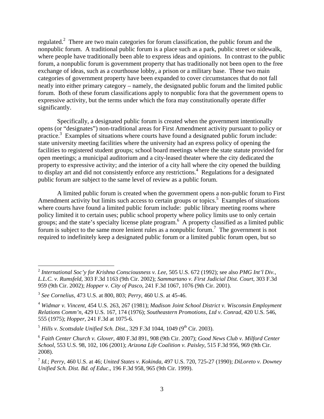regulated.<sup>2</sup> There are two main categories for forum classification, the public forum and the nonpublic forum. A traditional public forum is a place such as a park, public street or sidewalk, where people have traditionally been able to express ideas and opinions. In contrast to the public forum, a nonpublic forum is government property that has traditionally not been open to the free exchange of ideas, such as a courthouse lobby, a prison or a military base. These two main categories of government property have been expanded to cover circumstances that do not fall neatly into either primary category – namely, the designated public forum and the limited public forum. Both of these forum classifications apply to nonpublic fora that the government opens to expressive activity, but the terms under which the fora may constitutionally operate differ significantly.

Specifically, a designated public forum is created when the government intentionally opens (or "designates") non-traditional areas for First Amendment activity pursuant to policy or practice.<sup>3</sup> Examples of situations where courts have found a designated public forum include: state university meeting facilities where the university had an express policy of opening the facilities to registered student groups; school board meetings where the state statute provided for open meetings; a municipal auditorium and a city-leased theater where the city dedicated the property to expressive activity; and the interior of a city hall where the city opened the building to display art and did not consistently enforce any restrictions.<sup>4</sup> Regulations for a designated public forum are subject to the same level of review as a public forum.

A limited public forum is created when the government opens a non-public forum to First Amendment activity but limits such access to certain groups or topics.<sup>5</sup> Examples of situations where courts have found a limited public forum include: public library meeting rooms where policy limited it to certain uses; public school property where policy limits use to only certain groups; and the state's specialty license plate program.<sup>6</sup> A property classified as a limited public forum is subject to the same more lenient rules as a nonpublic forum.<sup>7</sup> The government is not required to indefinitely keep a designated public forum or a limited public forum open, but so

<sup>2</sup> *International Soc'y for Krishna Consciousness v. Lee*, 505 U.S. 672 (1992); see also *PMG Int'l Div., L.L.C. v. Rumsfeld*, 303 F.3d 1163 (9th Cir. 2002); *Sammartano v. First Judicial Dist. Court*, 303 F.3d 959 (9th Cir. 2002); *Hopper v. City of Pasco*, 241 F.3d 1067, 1076 (9th Cir. 2001).

<sup>3</sup> *See Cornelius,* 473 U.S. at 800, 803; *Perry*, 460 U.S. at 45-46.

<sup>4</sup> *Widmar v. Vincent*, 454 U.S. 263, 267 (1981); *Madison Joint School District v. Wisconsin Employment Relations Comm'n*, 429 U.S. 167, 174 (1976); *Southeastern Promotions, Ltd v. Conrad*, 420 U.S. 546, 555 (1975); *Hopper*, 241 F.3d at 1075-6.

 $^5$  *Hills v. Scottsdale Unified Sch. Dist.*, 329 F.3d 1044, 1049 (9<sup>th</sup> Cir. 2003).

<sup>6</sup> *Faith Center Church v. Glover*, 480 F.3d 891, 908 (9th Cir. 2007); *Good News Club v. Milford Center School*, 553 U.S. 98, 102, 106 (2001); *Arizona Life Coalition v. Paisley*, 515 F.3d 956, 969 (9th Cir. 2008).

<sup>7</sup> *Id.*; *Perry,* 460 U.S. at 46; *United States v. Kokinda*, 497 U.S. 720, 725-27 (1990); *DiLoreto v. Downey Unified Sch. Dist. Bd. of Educ*., 196 F.3d 958, 965 (9th Cir. 1999).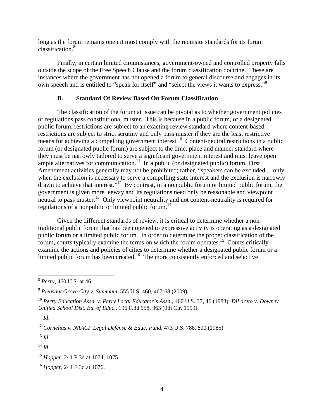long as the forum remains open it must comply with the requisite standards for its forum classification.8

Finally, in certain limited circumstances, government-owned and controlled property falls outside the scope of the Free Speech Clause and the forum classification doctrine. These are instances where the government has not opened a forum to general discourse and engages in its own speech and is entitled to "speak for itself" and "select the views it wants to express."9

#### **B. Standard Of Review Based On Forum Classification**

The classification of the forum at issue can be pivotal as to whether government policies or regulations pass constitutional muster. This is because in a public forum, or a designated public forum, restrictions are subject to an exacting review standard where content-based restrictions are subject to strict scrutiny and only pass muster if they are the least restrictive means for achieving a compelling government interest.<sup>10</sup> Content-neutral restrictions in a public forum (or designated public forum) are subject to the time, place and manner standard where they must be narrowly tailored to serve a significant government interest and must leave open ample alternatives for communication.<sup>11</sup> In a public (or designated public) forum, First Amendment activities generally may not be prohibited; rather, "speakers can be excluded ... only when the exclusion is necessary to serve a compelling state interest and the exclusion is narrowly drawn to achieve that interest."12 By contrast, in a nonpublic forum or limited public forum, the government is given more leeway and its regulations need only be reasonable and viewpoint neutral to pass muster.<sup>13</sup> Only viewpoint neutrality and not content-neutrality is required for regulations of a nonpublic or limited public forum.14

Given the different standards of review, it is critical to determine whether a nontraditional public forum that has been opened to expressive activity is operating as a designated public forum or a limited public forum. In order to determine the proper classification of the forum, courts typically examine the terms on which the forum operates.15 Courts critically examine the actions and policies of cities to determine whether a designated public forum or a limited public forum has been created.<sup>16</sup> The more consistently enforced and selective

 $\overline{a}$ 

 $^{13}$  *Id.* 

 $^{14}$  *Id.* 

<sup>8</sup> *Perry*, 460 U.S. at 46.

<sup>9</sup> *Pleasant Grove City v. Summum*, 555 U.S. 460, 467-68 (2009).

<sup>10</sup> *Perry Education Assn. v. Perry Local Educator's Assn*., 460 U.S. 37, 46 (1983); *DiLoreto v. Downey Unified School Dist. Bd. of Educ*., 196 F.3d 958, 965 (9th Cir. 1999).

 $11$  *Id.* 

<sup>12</sup> *Cornelius v. NAACP Legal Defense & Educ. Fund*, 473 U.S. 788, 800 (1985).

<sup>15</sup> *Hopper*, 241 F.3d at 1074, 1075.

<sup>16</sup> *Hopper,* 241 F.3d at 1076.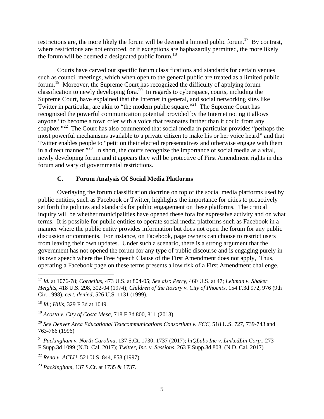restrictions are, the more likely the forum will be deemed a limited public forum.<sup>17</sup> By contrast, where restrictions are not enforced, or if exceptions are haphazardly permitted, the more likely the forum will be deemed a designated public forum.<sup>18</sup>

Courts have carved out specific forum classifications and standards for certain venues such as council meetings, which when open to the general public are treated as a limited public forum.19 Moreover, the Supreme Court has recognized the difficulty of applying forum classification to newly developing fora.20 In regards to cyberspace, courts, including the Supreme Court, have explained that the Internet in general, and social networking sites like Twitter in particular, are akin to "the modern public square."<sup>21</sup> The Supreme Court has recognized the powerful communication potential provided by the Internet noting it allows anyone "to become a town crier with a voice that resonates farther than it could from any soapbox. $2^{22}$  The Court has also commented that social media in particular provides "perhaps the most powerful mechanisms available to a private citizen to make his or her voice heard" and that Twitter enables people to "petition their elected representatives and otherwise engage with them in a direct manner."<sup>23</sup> In short, the courts recognize the importance of social media as a vital, newly developing forum and it appears they will be protective of First Amendment rights in this forum and wary of governmental restrictions.

#### **C. Forum Analysis Of Social Media Platforms**

Overlaying the forum classification doctrine on top of the social media platforms used by public entities, such as Facebook or Twitter, highlights the importance for cities to proactively set forth the policies and standards for public engagement on these platforms. The critical inquiry will be whether municipalities have opened these fora for expressive activity and on what terms. It is possible for public entities to operate social media platforms such as Facebook in a manner where the public entity provides information but does not open the forum for any public discussion or comments. For instance, on Facebook, page owners can choose to restrict users from leaving their own updates. Under such a scenario, there is a strong argument that the government has not opened the forum for any type of public discourse and is engaging purely in its own speech where the Free Speech Clause of the First Amendment does not apply, Thus, operating a Facebook page on these terms presents a low risk of a First Amendment challenge.

<sup>17</sup> *Id.* at 1076-78; *Cornelius*, 473 U.S. at 804-05; *See also Perry*, 460 U.S. at 47; *Lehman v. Shaker Heights*, 418 U.S. 298, 302-04 (1974); *Children of the Rosary v. City of Phoenix*, 154 F.3d 972, 976 (9th Cir. 1998), *cert. denied*, 526 U.S. 1131 (1999).

<sup>18</sup> *Id.*; *Hills*, 329 F.3d at 1049.

<sup>19</sup> *Acosta v. City of Costa Mesa*, 718 F.3d 800, 811 (2013).

<sup>&</sup>lt;sup>20</sup> See Denver Area Educational Telecommunications Consortium v. FCC, 518 U.S. 727, 739-743 and 763-766 (1996)

<sup>21</sup> *Packingham v. North Carolina*, 137 S.Ct. 1730, 1737 (2017); *hiQLabs Inc v. LinkedLin Corp.*, 273 F.Supp.3d 1099 (N.D. Cal. 2017); *Twitter, Inc. v. Sessions,* 263 F.Supp.3d 803, (N.D. Cal. 2017)

<sup>22</sup> *Reno v. ACLU*, 521 U.S. 844, 853 (1997).

<sup>23</sup> *Packingham*, 137 S.Ct. at 1735 & 1737.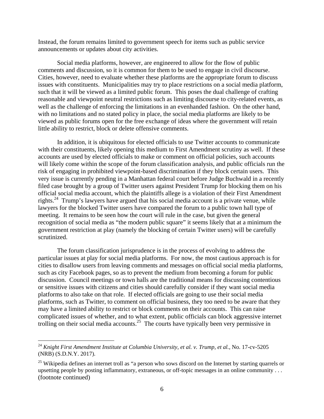Instead, the forum remains limited to government speech for items such as public service announcements or updates about city activities.

Social media platforms, however, are engineered to allow for the flow of public comments and discussion, so it is common for them to be used to engage in civil discourse. Cities, however, need to evaluate whether these platforms are the appropriate forum to discuss issues with constituents. Municipalities may try to place restrictions on a social media platform, such that it will be viewed as a limited public forum. This poses the dual challenge of crafting reasonable and viewpoint neutral restrictions such as limiting discourse to city-related events, as well as the challenge of enforcing the limitations in an evenhanded fashion. On the other hand, with no limitations and no stated policy in place, the social media platforms are likely to be viewed as public forums open for the free exchange of ideas where the government will retain little ability to restrict, block or delete offensive comments.

In addition, it is ubiquitous for elected officials to use Twitter accounts to communicate with their constituents, likely opening this medium to First Amendment scrutiny as well. If these accounts are used by elected officials to make or comment on official policies, such accounts will likely come within the scope of the forum classification analysis, and public officials run the risk of engaging in prohibited viewpoint-based discrimination if they block certain users. This very issue is currently pending in a Manhattan federal court before Judge Buchwald in a recently filed case brought by a group of Twitter users against President Trump for blocking them on his official social media account, which the plaintiffs allege is a violation of their First Amendment rights.<sup>24</sup> Trump's lawyers have argued that his social media account is a private venue, while lawyers for the blocked Twitter users have compared the forum to a public town hall type of meeting. It remains to be seen how the court will rule in the case, but given the general recognition of social media as "the modern public square" it seems likely that at a minimum the government restriction at play (namely the blocking of certain Twitter users) will be carefully scrutinized.

The forum classification jurisprudence is in the process of evolving to address the particular issues at play for social media platforms. For now, the most cautious approach is for cities to disallow users from leaving comments and messages on official social media platforms, such as city Facebook pages, so as to prevent the medium from becoming a forum for public discussion. Council meetings or town halls are the traditional means for discussing contentious or sensitive issues with citizens and cities should carefully consider if they want social media platforms to also take on that role. If elected officials are going to use their social media platforms, such as Twitter, to comment on official business, they too need to be aware that they may have a limited ability to restrict or block comments on their accounts. This can raise complicated issues of whether, and to what extent, public officials can block aggressive internet trolling on their social media accounts.<sup>25</sup> The courts have typically been very permissive in

<u>.</u>

<sup>24</sup> *Knight First Amendment Institute at Columbia University, et al. v. Trump, et al.*, No. 17-cv-5205 (NRB) (S.D.N.Y. 2017).

 $^{25}$  Wikipedia defines an internet troll as "a person who sows discord on the Internet by starting quarrels or upsetting people by posting inflammatory, extraneous, or off-topic messages in an online community . . . (footnote continued)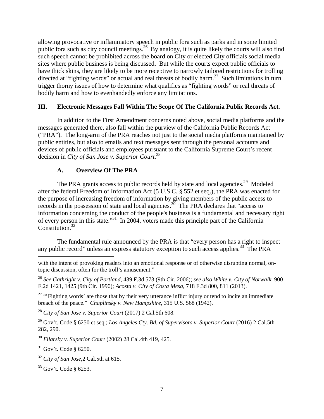allowing provocative or inflammatory speech in public fora such as parks and in some limited public fora such as city council meetings.<sup>26</sup> By analogy, it is quite likely the courts will also find such speech cannot be prohibited across the board on City or elected City officials social media sites where public business is being discussed. But while the courts expect public officials to have thick skins, they are likely to be more receptive to narrowly tailored restrictions for trolling directed at "fighting words" or actual and real threats of bodily harm.<sup>27</sup> Such limitations in turn trigger thorny issues of how to determine what qualifies as "fighting words" or real threats of bodily harm and how to evenhandedly enforce any limitations.

#### **III. Electronic Messages Fall Within The Scope Of The California Public Records Act.**

In addition to the First Amendment concerns noted above, social media platforms and the messages generated there, also fall within the purview of the California Public Records Act ("PRA"). The long-arm of the PRA reaches not just to the social media platforms maintained by public entities, but also to emails and text messages sent through the personal accounts and devices of public officials and employees pursuant to the California Supreme Court's recent decision in *City of San Jose v. Superior Court.*<sup>28</sup>

#### **A. Overview Of The PRA**

The PRA grants access to public records held by state and local agencies.<sup>29</sup> Modeled after the federal Freedom of Information Act (5 U.S.C. § 552 et seq.), the PRA was enacted for the purpose of increasing freedom of information by giving members of the public access to records in the possession of state and local agencies.<sup>30</sup> The PRA declares that "access to information concerning the conduct of the people's business is a fundamental and necessary right of every person in this state."31 In 2004, voters made this principle part of the California Constitution.<sup>32</sup>

The fundamental rule announced by the PRA is that "every person has a right to inspect any public record" unless an express statutory exception to such access applies.<sup>33</sup> The PRA

 $27$  "'Fighting words' are those that by their very utterance inflict injury or tend to incite an immediate breach of the peace." *Chaplinsky v. New Hampshire*, 315 U.S. 568 (1942).

<sup>28</sup> *City of San Jose v. Superior Court* (2017) 2 Cal.5th 608.

29 Gov't. Code § 6250 et seq.; *Los Angeles Cty. Bd. of Supervisors v. Superior Court* (2016) 2 Cal.5th 282, 290.

<sup>30</sup> *Filarsky v. Superior Court* (2002) 28 Cal.4th 419, 425.

 $31$  Gov't. Code § 6250.

1

with the intent of provoking readers into an emotional response or of otherwise disrupting normal, ontopic discussion, often for the troll's amusement."

<sup>26</sup> *See Gathright v. City of Portland*, 439 F.3d 573 (9th Cir. 2006); *see also White v. City of Norwalk*, 900 F.2d 1421, 1425 (9th Cir. 1990); *Acosta v. City of Costa Mesa*, 718 F.3d 800, 811 (2013).

<sup>32</sup> *City of San Jose*,2 Cal.5th at 615.

<sup>33</sup> Gov't. Code § 6253.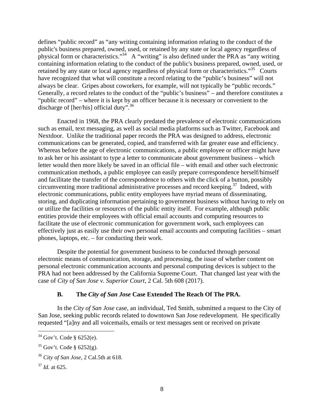defines "public record" as "any writing containing information relating to the conduct of the public's business prepared, owned, used, or retained by any state or local agency regardless of physical form or characteristics."<sup>34</sup> A "writing" is also defined under the PRA as "any writing" containing information relating to the conduct of the public's business prepared, owned, used, or retained by any state or local agency regardless of physical form or characteristics."<sup>35</sup> Courts have recognized that what will constitute a record relating to the "public's business" will not always be clear. Gripes about coworkers, for example, will not typically be "public records." Generally, a record relates to the conduct of the "public's business" – and therefore constitutes a "public record" – where it is kept by an officer because it is necessary or convenient to the discharge of  $[her/his]$  official duty".<sup>36</sup>

Enacted in 1968, the PRA clearly predated the prevalence of electronic communications such as email, text messaging, as well as social media platforms such as Twitter, Facebook and Nextdoor. Unlike the traditional paper records the PRA was designed to address, electronic communications can be generated, copied, and transferred with far greater ease and efficiency. Whereas before the age of electronic communications, a public employee or officer might have to ask her or his assistant to type a letter to communicate about government business – which letter would then more likely be saved in an official file – with email and other such electronic communication methods, a public employee can easily prepare correspondence herself/himself and facilitate the transfer of the correspondence to others with the click of a button, possibly circumventing more traditional administrative processes and record keeping.<sup>37</sup> Indeed, with electronic communications, public entity employees have myriad means of disseminating, storing, and duplicating information pertaining to government business without having to rely on or utilize the facilities or resources of the public entity itself. For example, although public entities provide their employees with official email accounts and computing resources to facilitate the use of electronic communication for government work, such employees can effectively just as easily use their own personal email accounts and computing facilities – smart phones, laptops, etc. – for conducting their work.

Despite the potential for government business to be conducted through personal electronic means of communication, storage, and processing, the issue of whether content on personal electronic communication accounts and personal computing devices is subject to the PRA had not been addressed by the California Supreme Court. That changed last year with the case of *City of San Jose v. Superior Court*, 2 Cal. 5th 608 (2017).

#### **B. The** *City of San Jose* **Case Extended The Reach Of The PRA.**

In the *City of San Jose* case, an individual, Ted Smith, submitted a request to the City of San Jose, seeking public records related to downtown San Jose redevelopment. He specifically requested "[a]ny and all voicemails, emails or text messages sent or received on private

 $34$  Gov't. Code § 6252(e).

 $35$  Gov't. Code § 6252(g).

<sup>36</sup> *City of San Jose*, 2 Cal.5th at 618.

<sup>37</sup> *Id.* at 625.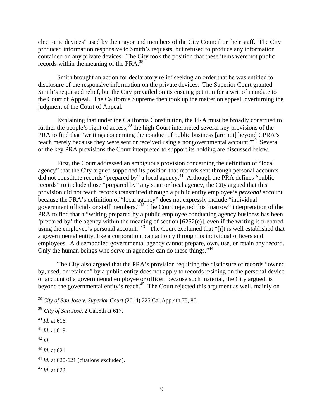electronic devices" used by the mayor and members of the City Council or their staff. The City produced information responsive to Smith's requests, but refused to produce any information contained on any private devices. The City took the position that these items were not public records within the meaning of the PRA.<sup>38</sup>

Smith brought an action for declaratory relief seeking an order that he was entitled to disclosure of the responsive information on the private devices. The Superior Court granted Smith's requested relief, but the City prevailed on its ensuing petition for a writ of mandate to the Court of Appeal. The California Supreme then took up the matter on appeal, overturning the judgment of the Court of Appeal.

Explaining that under the California Constitution, the PRA must be broadly construed to further the people's right of access,<sup>39</sup> the high Court interpreted several key provisions of the PRA to find that "writings concerning the conduct of public business [are not] beyond CPRA's reach merely because they were sent or received using a nongovernmental account."<sup>40</sup> Several of the key PRA provisions the Court interpreted to support its holding are discussed below.

First, the Court addressed an ambiguous provision concerning the definition of "local agency" that the City argued supported its position that records sent through personal accounts did not constitute records "prepared by" a local agency.<sup>41</sup> Although the PRA defines "public records" to include those "prepared by" any state or local agency, the City argued that this provision did not reach records transmitted through a public entity employee's *personal* account because the PRA's definition of "local agency" does not expressly include "individual government officials or staff members." $\frac{1}{2}$  The Court rejected this "narrow" interpretation of the PRA to find that a "writing prepared by a public employee conducting agency business has been 'prepared by' the agency within the meaning of section [6252(e)], even if the writing is prepared using the employee's personal account."<sup>43</sup> The Court explained that "[i]t is well established that a governmental entity, like a corporation, can act only through its individual officers and employees. A disembodied governmental agency cannot prepare, own, use, or retain any record. Only the human beings who serve in agencies can do these things.<sup>"44</sup>

The City also argued that the PRA's provision requiring the disclosure of records "owned by, used, or retained" by a public entity does not apply to records residing on the personal device or account of a governmental employee or officer, because such material, the City argued, is beyond the governmental entity's reach.<sup>45</sup> The Court rejected this argument as well, mainly on

<sup>42</sup> *Id.*

 $\overline{a}$ 

<sup>43</sup> *Id.* at 621.

<sup>38</sup> *City of San Jose v. Superior Court* (2014) 225 Cal.App.4th 75, 80.

<sup>39</sup> *City of San Jose*, 2 Cal.5th at 617.

<sup>40</sup> *Id.* at 616.

<sup>41</sup> *Id.* at 619.

<sup>&</sup>lt;sup>44</sup> *Id.* at 620-621 (citations excluded).

<sup>45</sup> *Id.* at 622.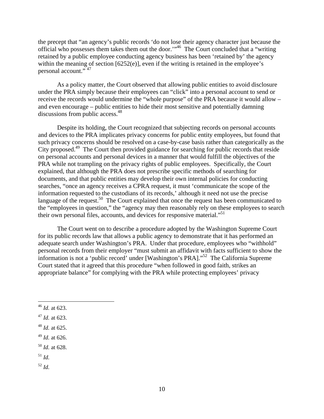the precept that "an agency's public records 'do not lose their agency character just because the official who possesses them takes them out the door.'"46 The Court concluded that a "writing retained by a public employee conducting agency business has been 'retained by' the agency within the meaning of section  $[6252(e)]$ , even if the writing is retained in the employee's personal account." 47

As a policy matter, the Court observed that allowing public entities to avoid disclosure under the PRA simply because their employees can "click" into a personal account to send or receive the records would undermine the "whole purpose" of the PRA because it would allow – and even encourage – public entities to hide their most sensitive and potentially damning discussions from public access.<sup>48</sup>

Despite its holding, the Court recognized that subjecting records on personal accounts and devices to the PRA implicates privacy concerns for public entity employees, but found that such privacy concerns should be resolved on a case-by-case basis rather than categorically as the City proposed.<sup>49</sup> The Court then provided guidance for searching for public records that reside on personal accounts and personal devices in a manner that would fulfill the objectives of the PRA while not trampling on the privacy rights of public employees. Specifically, the Court explained, that although the PRA does not prescribe specific methods of searching for documents, and that public entities may develop their own internal policies for conducting searches, "once an agency receives a CPRA request, it must 'communicate the scope of the information requested to the custodians of its records,' although it need not use the precise language of the request.<sup>50</sup> The Court explained that once the request has been communicated to the "employees in question," the "agency may then reasonably rely on these employees to search their own personal files, accounts, and devices for responsive material."<sup>51</sup>

The Court went on to describe a procedure adopted by the Washington Supreme Court for its public records law that allows a public agency to demonstrate that it has performed an adequate search under Washington's PRA. Under that procedure, employees who "withhold" personal records from their employer "must submit an affidavit with facts sufficient to show the information is not a 'public record' under [Washington's PRA]."52 The California Supreme Court stated that it agreed that this procedure "when followed in good faith, strikes an appropriate balance" for complying with the PRA while protecting employees' privacy

- <sup>50</sup> *Id.* at 628.
- $^{51}$  *Id*.

 $\overline{a}$ 

<sup>52</sup> *Id.*

<sup>46</sup> *Id.* at 623.

<sup>47</sup> *Id.* at 623.

<sup>48</sup> *Id.* at 625.

<sup>49</sup> *Id.* at 626.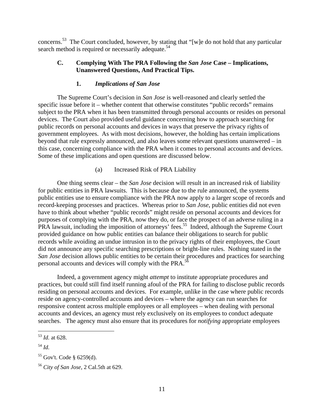concerns.53 The Court concluded, however, by stating that "[w]e do not hold that any particular search method is required or necessarily adequate.<sup>54</sup>

#### **C. Complying With The PRA Following the** *San Jose* **Case – Implications, Unanswered Questions, And Practical Tips.**

#### **1.** *Implications of San Jose*

The Supreme Court's decision in *San Jose* is well-reasoned and clearly settled the specific issue before it – whether content that otherwise constitutes "public records" remains subject to the PRA when it has been transmitted through personal accounts or resides on personal devices. The Court also provided useful guidance concerning how to approach searching for public records on personal accounts and devices in ways that preserve the privacy rights of government employees. As with most decisions, however, the holding has certain implications beyond that rule expressly announced, and also leaves some relevant questions unanswered – in this case, concerning compliance with the PRA when it comes to personal accounts and devices. Some of these implications and open questions are discussed below.

#### (a) Increased Risk of PRA Liability

One thing seems clear – the *San Jose* decision will result in an increased risk of liability for public entities in PRA lawsuits. This is because due to the rule announced, the systems public entities use to ensure compliance with the PRA now apply to a larger scope of records and record-keeping processes and practices. Whereas prior to *San Jose*, public entities did not even have to think about whether "public records" might reside on personal accounts and devices for purposes of complying with the PRA, now they do, or face the prospect of an adverse ruling in a PRA lawsuit, including the imposition of attorneys' fees.<sup>55</sup> Indeed, although the Supreme Court provided guidance on how public entities can balance their obligations to search for public records while avoiding an undue intrusion in to the privacy rights of their employees, the Court did not announce any specific searching prescriptions or bright-line rules. Nothing stated in the *San Jose* decision allows public entities to be certain their procedures and practices for searching personal accounts and devices will comply with the PRA.<sup>56</sup>

Indeed, a government agency might *attempt* to institute appropriate procedures and practices, but could still find itself running afoul of the PRA for failing to disclose public records residing on personal accounts and devices. For example, unlike in the case where public records reside on agency-controlled accounts and devices – where the agency can run searches for responsive content across multiple employees or all employees – when dealing with personal accounts and devices, an agency must rely exclusively on its employees to conduct adequate searches. The agency must also ensure that its procedures for *notifying* appropriate employees

<u>.</u>

<sup>53</sup> *Id.* at 628.

<sup>54</sup> *Id.*

 $55$  Gov't. Code § 6259(d).

<sup>56</sup> *City of San Jose*, 2 Cal.5th at 629.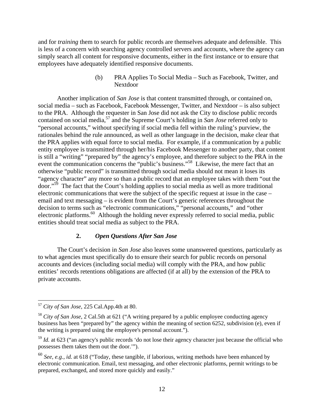and for *training* them to search for public records are themselves adequate and defensible. This is less of a concern with searching agency controlled servers and accounts, where the agency can simply search all content for responsive documents, either in the first instance or to ensure that employees have adequately identified responsive documents.

> (b) PRA Applies To Social Media – Such as Facebook, Twitter, and Nextdoor

Another implication of *San Jose* is that content transmitted through, or contained on, social media – such as Facebook, Facebook Messenger, Twitter, and Nextdoor – is also subject to the PRA. Although the requester in San Jose did not ask the City to disclose public records contained on social media,57 and the Supreme Court's holding in *San Jose* referred only to "personal accounts," without specifying if social media fell within the ruling's purview, the rationales behind the rule announced, as well as other language in the decision, make clear that the PRA applies with equal force to social media. For example, if a communication by a public entity employee is transmitted through her/his Facebook Messenger to another party, that content is still a "writing" "prepared by" the agency's employee, and therefore subject to the PRA in the event the communication concerns the "public's business."<sup>58</sup> Likewise, the mere fact that an otherwise "public record" is transmitted through social media should not mean it loses its "agency character" any more so than a public record that an employee takes with them "out the door."59 The fact that the Court's holding applies to social media as well as more traditional electronic communications that were the subject of the specific request at issue in the case – email and text messaging – is evident from the Court's generic references throughout the decision to terms such as "electronic communications," "personal accounts," and "other electronic platforms.<sup>60</sup> Although the holding never expressly referred to social media, public entities should treat social media as subject to the PRA.

#### **2.** *Open Questions After San Jose*

 The Court's decision in *San Jose* also leaves some unanswered questions, particularly as to what agencies must specifically do to ensure their search for public records on personal accounts and devices (including social media) will comply with the PRA, and how public entities' records retentions obligations are affected (if at all) by the extension of the PRA to private accounts.

<sup>57</sup> *City of San Jose*, 225 Cal.App.4th at 80.

<sup>58</sup> *City of San Jose*, 2 Cal.5th at 621 ("A writing prepared by a public employee conducting agency business has been "prepared by" the agency within the meaning of section 6252, subdivision (e), even if the writing is prepared using the employee's personal account.").

<sup>&</sup>lt;sup>59</sup> *Id.* at 623 ("an agency's public records 'do not lose their agency character just because the official who possesses them takes them out the door.'").

<sup>60</sup> *See, e.g., id.* at 618 ("Today, these tangible, if laborious, writing methods have been enhanced by electronic communication. Email, text messaging, and other electronic platforms, permit writings to be prepared, exchanged, and stored more quickly and easily."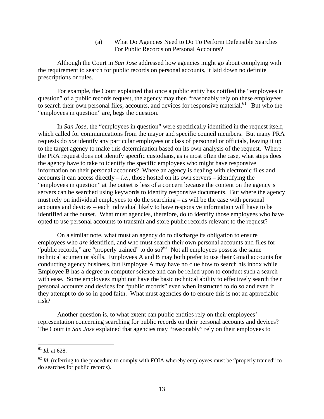(a) What Do Agencies Need to Do To Perform Defensible Searches For Public Records on Personal Accounts?

Although the Court in *San Jose* addressed how agencies might go about complying with the requirement to search for public records on personal accounts, it laid down no definite prescriptions or rules.

For example, the Court explained that once a public entity has notified the "employees in question" of a public records request, the agency may then "reasonably rely on these employees to search their own personal files, accounts, and devices for responsive material.<sup>61</sup> But who the "employees in question" are, begs the question.

In *San Jose*, the "employees in question" were specifically identified in the request itself, which called for communications from the mayor and specific council members. But many PRA requests do *not* identify any particular employees or class of personnel or officials, leaving it up to the target agency to make this determination based on its own analysis of the request. Where the PRA request does not identify specific custodians, as is most often the case, what steps does the agency have to take to identify the specific employees who might have responsive information on their personal accounts? Where an agency is dealing with electronic files and accounts it can access directly  $-i.e.,$  those hosted on its own servers  $-$  identifying the "employees in question" at the outset is less of a concern because the content on the agency's servers can be searched using keywords to identify responsive documents. But where the agency must rely on individual employees to do the searching – as will be the case with personal accounts and devices – each individual likely to have responsive information will have to be identified at the outset. What must agencies, therefore, do to identify those employees who have opted to use personal accounts to transmit and store public records relevant to the request?

On a similar note, what must an agency do to discharge its obligation to ensure employees who *are* identified, and who must search their own personal accounts and files for "public records," are "properly trained" to do so?<sup>62</sup> Not all employees possess the same technical acumen or skills. Employees A and B may both prefer to use their Gmail accounts for conducting agency business, but Employee A may have no clue how to search his inbox while Employee B has a degree in computer science and can be relied upon to conduct such a search with ease. Some employees might not have the basic technical ability to effectively search their personal accounts and devices for "public records" even when instructed to do so and even if they attempt to do so in good faith. What must agencies do to ensure this is not an appreciable risk?

Another question is, to what extent can public entities rely on their employees' representation concerning searching for public records on their personal accounts and devices? The Court in *San Jose* explained that agencies may "reasonably" rely on their employees to

<sup>61</sup> *Id.* at 628.

 $62$  *Id.* (referring to the procedure to comply with FOIA whereby employees must be "properly trained" to do searches for public records).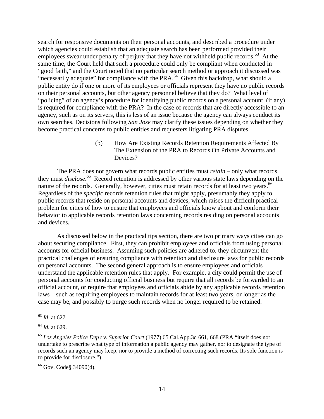search for responsive documents on their personal accounts, and described a procedure under which agencies could establish that an adequate search has been performed provided their employees swear under penalty of perjury that they have not withheld public records.<sup>63</sup> At the same time, the Court held that such a procedure could only be compliant when conducted in "good faith," and the Court noted that no particular search method or approach it discussed was "necessarily adequate" for compliance with the PRA.<sup>64</sup> Given this backdrop, what should a public entity do if one or more of its employees or officials represent they have no public records on their personal accounts, but other agency personnel believe that they do? What level of "policing" of an agency's procedure for identifying public records on a personal account (if any) is required for compliance with the PRA? In the case of records that are directly accessible to an agency, such as on its servers, this is less of an issue because the agency can always conduct its own searches. Decisions following *San Jose* may clarify these issues depending on whether they become practical concerns to public entities and requesters litigating PRA disputes.

> (b) How Are Existing Records Retention Requirements Affected By The Extension of the PRA to Records On Private Accounts and Devices?

The PRA does not govern what records public entities must *retain* – only what records they must *disclose*. 65 Record retention is addressed by other various state laws depending on the nature of the records. Generally, however, cities must retain records for at least two years.<sup>66</sup> Regardless of the *specific* records retention rules that might apply, presumably they apply to public records that reside on personal accounts and devices, which raises the difficult practical problem for cities of how to ensure that employees and officials know about and conform their behavior to applicable records retention laws concerning records residing on personal accounts and devices.

As discussed below in the practical tips section, there are two primary ways cities can go about securing compliance. First, they can prohibit employees and officials from using personal accounts for official business. Assuming such policies are adhered to, they circumvent the practical challenges of ensuring compliance with retention and disclosure laws for public records on personal accounts. The second general approach is to ensure employees and officials understand the applicable retention rules that apply. For example, a city could permit the use of personal accounts for conducting official business but require that all records be forwarded to an official account, or require that employees and officials abide by any applicable records retention laws – such as requiring employees to maintain records for at least two years, or longer as the case may be, and possibly to purge such records when no longer required to be retained.

<sup>63</sup> *Id.* at 627.

<sup>64</sup> *Id.* at 629.

<sup>65</sup> *Los Angeles Police Dep't v. Superior Court* (1977) 65 Cal.App.3d 661, 668 (PRA "itself does not undertake to prescribe what type of information a public agency may gather, nor to designate the type of records such an agency may keep, nor to provide a method of correcting such records. Its sole function is to provide for disclosure.")

<sup>66</sup> Gov. Code§ 34090(d).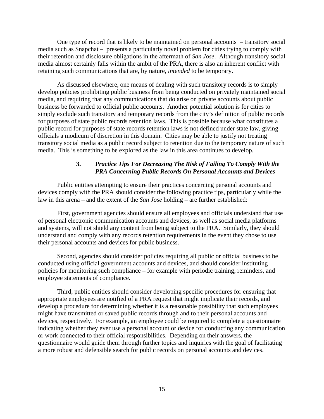One type of record that is likely to be maintained on personal accounts – transitory social media such as Snapchat – presents a particularly novel problem for cities trying to comply with their retention and disclosure obligations in the aftermath of *San Jose*. Although transitory social media almost certainly falls within the ambit of the PRA, there is also an inherent conflict with retaining such communications that are, by nature, *intended* to be temporary.

As discussed elsewhere, one means of dealing with such transitory records is to simply develop policies prohibiting public business from being conducted on privately maintained social media, and requiring that any communications that do arise on private accounts about public business be forwarded to official public accounts. Another potential solution is for cities to simply exclude such transitory and temporary records from the city's definition of public records for purposes of state public records retention laws. This is possible because what constitutes a public record for purposes of state records retention laws is not defined under state law, giving officials a modicum of discretion in this domain. Cities may be able to justify not treating transitory social media as a public record subject to retention due to the temporary nature of such media. This is something to be explored as the law in this area continues to develop.

#### **3.** *Practice Tips For Decreasing The Risk of Failing To Comply With the PRA Concerning Public Records On Personal Accounts and Devices*

Public entities attempting to ensure their practices concerning personal accounts and devices comply with the PRA should consider the following practice tips, particularly while the law in this arena – and the extent of the *San Jose* holding – are further established:

First, government agencies should ensure all employees and officials understand that use of personal electronic communication accounts and devices, as well as social media platforms and systems, will not shield any content from being subject to the PRA. Similarly, they should understand and comply with any records retention requirements in the event they chose to use their personal accounts and devices for public business.

Second, agencies should consider policies requiring all public or official business to be conducted using official government accounts and devices, and should consider instituting policies for monitoring such compliance – for example with periodic training, reminders, and employee statements of compliance.

Third, public entities should consider developing specific procedures for ensuring that appropriate employees are notified of a PRA request that might implicate their records, and develop a procedure for determining whether it is a reasonable possibility that such employees might have transmitted or saved public records through and to their personal accounts and devices, respectively. For example, an employee could be required to complete a questionnaire indicating whether they ever use a personal account or device for conducting any communication or work connected to their official responsibilities. Depending on their answers, the questionnaire would guide them through further topics and inquiries with the goal of facilitating a more robust and defensible search for public records on personal accounts and devices.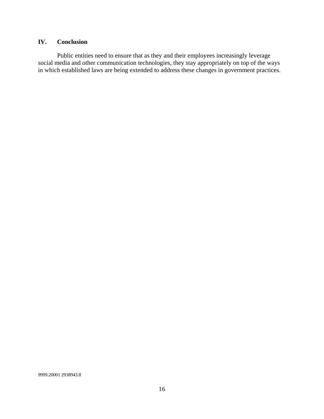# **IV. Conclusion**

Public entities need to ensure that as they and their employees increasingly leverage social media and other communication technologies, they stay appropriately on top of the ways in which established laws are being extended to address these changes in government practices.